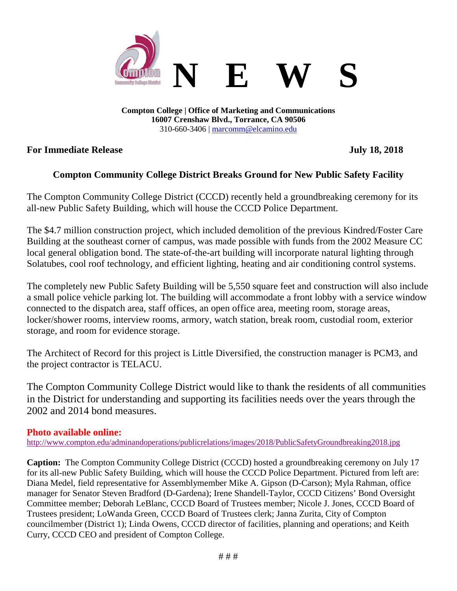

**Compton College | Office of Marketing and Communications 16007 Crenshaw Blvd., Torrance, CA 90506** 310-660-3406 | [marcomm@elcamino.edu](mailto:marcomm@elcamino.edu)

### **For Immediate Release July 18, 2018**

## **Compton Community College District Breaks Ground for New Public Safety Facility**

The Compton Community College District (CCCD) recently held a groundbreaking ceremony for its all-new Public Safety Building, which will house the CCCD Police Department.

The \$4.7 million construction project, which included demolition of the previous Kindred/Foster Care Building at the southeast corner of campus, was made possible with funds from the 2002 Measure CC local general obligation bond. The state-of-the-art building will incorporate natural lighting through Solatubes, cool roof technology, and efficient lighting, heating and air conditioning control systems.

The completely new Public Safety Building will be 5,550 square feet and construction will also include a small police vehicle parking lot. The building will accommodate a front lobby with a service window connected to the dispatch area, staff offices, an open office area, meeting room, storage areas, locker/shower rooms, interview rooms, armory, watch station, break room, custodial room, exterior storage, and room for evidence storage.

The Architect of Record for this project is Little Diversified, the construction manager is PCM3, and the project contractor is TELACU.

The Compton Community College District would like to thank the residents of all communities in the District for understanding and supporting its facilities needs over the years through the 2002 and 2014 bond measures.

#### **Photo available online:**

<http://www.compton.edu/adminandoperations/publicrelations/images/2018/PublicSafetyGroundbreaking2018.jpg>

**Caption:** The Compton Community College District (CCCD) hosted a groundbreaking ceremony on July 17 for its all-new Public Safety Building, which will house the CCCD Police Department. Pictured from left are: Diana Medel, field representative for Assemblymember Mike A. Gipson (D-Carson); Myla Rahman, office manager for Senator Steven Bradford (D-Gardena); Irene Shandell-Taylor, CCCD Citizens' Bond Oversight Committee member; Deborah LeBlanc, CCCD Board of Trustees member; Nicole J. Jones, CCCD Board of Trustees president; LoWanda Green, CCCD Board of Trustees clerk; Janna Zurita, City of Compton councilmember (District 1); Linda Owens, CCCD director of facilities, planning and operations; and Keith Curry, CCCD CEO and president of Compton College.